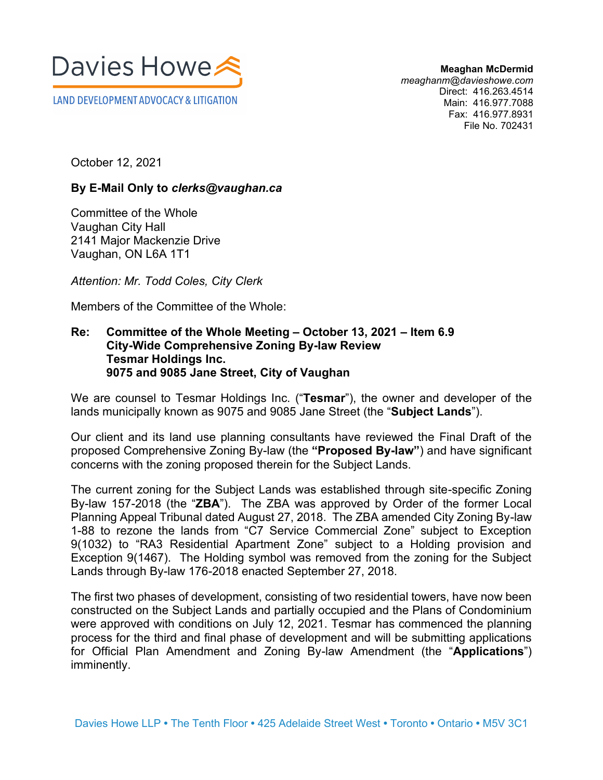

**Meaghan McDermid** *meaghanm@davieshowe.com* Direct: 416.263.4514 Main: 416.977.7088 Fax: 416.977.8931 File No. 702431

October 12, 2021

## **By E-Mail Only to** *clerks@vaughan.ca*

Committee of the Whole Vaughan City Hall 2141 Major Mackenzie Drive Vaughan, ON L6A 1T1

*Attention: Mr. Todd Coles, City Clerk* 

Members of the Committee of the Whole:

## **Re: Committee of the Whole Meeting – October 13, 2021 – Item 6.9 City-Wide Comprehensive Zoning By-law Review Tesmar Holdings Inc. 9075 and 9085 Jane Street, City of Vaughan**

We are counsel to Tesmar Holdings Inc. ("**Tesmar**"), the owner and developer of the lands municipally known as 9075 and 9085 Jane Street (the "**Subject Lands**").

Our client and its land use planning consultants have reviewed the Final Draft of the proposed Comprehensive Zoning By-law (the **"Proposed By-law"**) and have significant concerns with the zoning proposed therein for the Subject Lands.

The current zoning for the Subject Lands was established through site-specific Zoning By-law 157-2018 (the "**ZBA**"). The ZBA was approved by Order of the former Local Planning Appeal Tribunal dated August 27, 2018. The ZBA amended City Zoning By-law 1-88 to rezone the lands from "C7 Service Commercial Zone" subject to Exception 9(1032) to "RA3 Residential Apartment Zone" subject to a Holding provision and Exception 9(1467). The Holding symbol was removed from the zoning for the Subject Lands through By-law 176-2018 enacted September 27, 2018.

The first two phases of development, consisting of two residential towers, have now been constructed on the Subject Lands and partially occupied and the Plans of Condominium were approved with conditions on July 12, 2021. Tesmar has commenced the planning process for the third and final phase of development and will be submitting applications for Official Plan Amendment and Zoning By-law Amendment (the "**Applications**") imminently.

**COMMUNICATION C41 ITEM NO. 9 COMMITTEE OF THE WHOLE (2)**

**October 13, 2021**